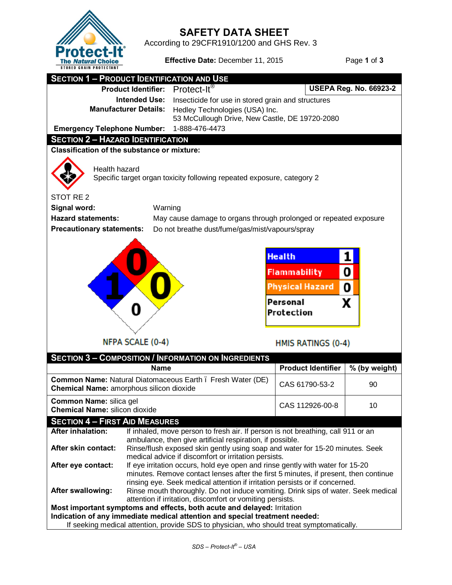

**SAFETY DATA SHEET**<br>According to 29CFR1910/1200 and GHS Rev. 3

**Effective Date:** December 11, 2015 Page 1 of 3

| <b>SECTION 1 - PRODUCT IDENTIFICATION AND USE</b>                                                                                                      |                                                                                                                                           |                                                                                                                                                |                                                                                                                |                               |  |  |
|--------------------------------------------------------------------------------------------------------------------------------------------------------|-------------------------------------------------------------------------------------------------------------------------------------------|------------------------------------------------------------------------------------------------------------------------------------------------|----------------------------------------------------------------------------------------------------------------|-------------------------------|--|--|
| <b>Product Identifier:</b>                                                                                                                             |                                                                                                                                           | $Protext-It®$                                                                                                                                  |                                                                                                                | <b>USEPA Reg. No. 66923-2</b> |  |  |
| <b>Intended Use:</b>                                                                                                                                   |                                                                                                                                           | Insecticide for use in stored grain and structures                                                                                             |                                                                                                                |                               |  |  |
| <b>Manufacturer Details:</b>                                                                                                                           |                                                                                                                                           | Hedley Technologies (USA) Inc.                                                                                                                 |                                                                                                                |                               |  |  |
|                                                                                                                                                        |                                                                                                                                           | 53 McCullough Drive, New Castle, DE 19720-2080                                                                                                 |                                                                                                                |                               |  |  |
| <b>Emergency Telephone Number:</b>                                                                                                                     |                                                                                                                                           | 1-888-476-4473                                                                                                                                 |                                                                                                                |                               |  |  |
| <b>SECTION 2 - HAZARD IDENTIFICATION</b>                                                                                                               |                                                                                                                                           |                                                                                                                                                |                                                                                                                |                               |  |  |
| <b>Classification of the substance or mixture:</b>                                                                                                     |                                                                                                                                           |                                                                                                                                                |                                                                                                                |                               |  |  |
| Health hazard<br>Specific target organ toxicity following repeated exposure, category 2                                                                |                                                                                                                                           |                                                                                                                                                |                                                                                                                |                               |  |  |
| STOT RE <sub>2</sub>                                                                                                                                   |                                                                                                                                           |                                                                                                                                                |                                                                                                                |                               |  |  |
| Signal word:<br>Warning                                                                                                                                |                                                                                                                                           |                                                                                                                                                |                                                                                                                |                               |  |  |
| <b>Hazard statements:</b>                                                                                                                              |                                                                                                                                           |                                                                                                                                                | May cause damage to organs through prolonged or repeated exposure                                              |                               |  |  |
| <b>Precautionary statements:</b>                                                                                                                       |                                                                                                                                           | Do not breathe dust/fume/gas/mist/vapours/spray                                                                                                |                                                                                                                |                               |  |  |
|                                                                                                                                                        | NFPA SCALE (0-4)                                                                                                                          |                                                                                                                                                | <b>Health</b><br>Flammability<br><b>Physical Hazard</b><br>Personal<br>Protection<br><b>HMIS RATINGS (0-4)</b> | 0<br>0<br>x                   |  |  |
|                                                                                                                                                        |                                                                                                                                           | <b>SECTION 3 - COMPOSITION / INFORMATION ON INGREDIENTS</b>                                                                                    |                                                                                                                |                               |  |  |
|                                                                                                                                                        | <b>Name</b>                                                                                                                               |                                                                                                                                                | <b>Product Identifier</b>                                                                                      | % (by weight)                 |  |  |
| Common Name: Natural Diatomaceous Earth . Fresh Water (DE)<br>Chemical Name: amorphous silicon dioxide                                                 |                                                                                                                                           |                                                                                                                                                | CAS 61790-53-2                                                                                                 | 90                            |  |  |
| Common Name: silica gel<br><b>Chemical Name: silicon dioxide</b>                                                                                       |                                                                                                                                           |                                                                                                                                                | CAS 112926-00-8                                                                                                | 10                            |  |  |
| <b>SECTION 4 - FIRST AID MEASURES</b>                                                                                                                  |                                                                                                                                           |                                                                                                                                                |                                                                                                                |                               |  |  |
| <b>After inhalation:</b>                                                                                                                               |                                                                                                                                           | If inhaled, move person to fresh air. If person is not breathing, call 911 or an                                                               |                                                                                                                |                               |  |  |
|                                                                                                                                                        | ambulance, then give artificial respiration, if possible.<br>Rinse/flush exposed skin gently using soap and water for 15-20 minutes. Seek |                                                                                                                                                |                                                                                                                |                               |  |  |
| After skin contact:                                                                                                                                    |                                                                                                                                           |                                                                                                                                                |                                                                                                                |                               |  |  |
| After eye contact:                                                                                                                                     | medical advice if discomfort or irritation persists.<br>If eye irritation occurs, hold eye open and rinse gently with water for 15-20     |                                                                                                                                                |                                                                                                                |                               |  |  |
|                                                                                                                                                        |                                                                                                                                           | minutes. Remove contact lenses after the first 5 minutes, if present, then continue                                                            |                                                                                                                |                               |  |  |
|                                                                                                                                                        |                                                                                                                                           | rinsing eye. Seek medical attention if irritation persists or if concerned.                                                                    |                                                                                                                |                               |  |  |
| After swallowing:                                                                                                                                      |                                                                                                                                           | Rinse mouth thoroughly. Do not induce vomiting. Drink sips of water. Seek medical<br>attention if irritation, discomfort or vomiting persists. |                                                                                                                |                               |  |  |
| Most important symptoms and effects, both acute and delayed: Irritation<br>Indication of any immediate medical attention and special treatment needed: |                                                                                                                                           |                                                                                                                                                |                                                                                                                |                               |  |  |
| If seeking medical attention, provide SDS to physician, who should treat symptomatically.                                                              |                                                                                                                                           |                                                                                                                                                |                                                                                                                |                               |  |  |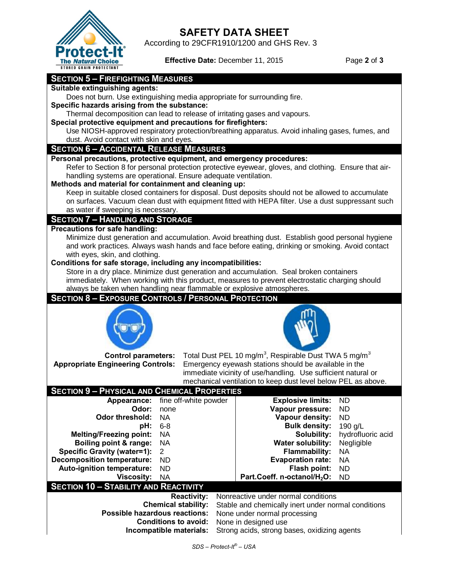

## **SAFETY DATA SHEET**<br>According to 29CFR1910/1200 and GHS Rev. 3

**Effective Date:** December 11, 2015 Page 2 of 3

#### **SECTION 5 – FIREFIGHTING MEASURES**

#### **Suitable extinguishing agents:**

Does not burn. Use extinguishing media appropriate for surrounding fire.

**Specific hazards arising from the substance:** 

Thermal decomposition can lead to release of irritating gases and vapours.

**Special protective equipment and precautions for firefighters:**

Use NIOSH-approved respiratory protection/breathing apparatus. Avoid inhaling gases, fumes, and dust. Avoid contact with skin and eyes.

#### **SECTION 6 – ACCIDENTAL RELEASE MEASURES**

**Personal precautions, protective equipment, and emergency procedures:**

Refer to Section 8 for personal protection protective eyewear, gloves, and clothing. Ensure that airhandling systems are operational. Ensure adequate ventilation.

#### **Methods and material for containment and cleaning up:**

Keep in suitable closed containers for disposal. Dust deposits should not be allowed to accumulate on surfaces. Vacuum clean dust with equipment fitted with HEPA filter. Use a dust suppressant such as water if sweeping is necessary.

#### **SECTION 7 – HANDLING AND STORAGE**

### **Precautions for safe handling:**

Minimize dust generation and accumulation. Avoid breathing dust. Establish good personal hygiene and work practices. Always wash hands and face before eating, drinking or smoking. Avoid contact with eyes, skin, and clothing.

**Conditions for safe storage, including any incompatibilities:**

Store in a dry place. Minimize dust generation and accumulation. Seal broken containers immediately. When working with this product, measures to prevent electrostatic charging should always be taken when handling near flammable or explosive atmospheres.

#### **SECTION 8 – EXPOSURE CONTROLS / PERSONAL PROTECTION**



**Control parameters:** Total Dust PEL 10 mg/m<sup>3</sup>, Respirable Dust TWA 5 mg/m<sup>3</sup> **Appropriate Engineering Controls:** Emergency eyewash stations should be available in the immediate vicinity of use/handling. Use sufficient natural or mechanical ventilation to keep dust level below PEL as above.

| <b>SECTION 9 - PHYSICAL AND CHEMICAL PROPERTIES</b> |                       |                                         |                   |  |  |  |
|-----------------------------------------------------|-----------------------|-----------------------------------------|-------------------|--|--|--|
| Appearance:                                         | fine off-white powder | <b>Explosive limits:</b>                | ND.               |  |  |  |
| Odor:                                               | none                  | Vapour pressure:                        | ND.               |  |  |  |
| <b>Odor threshold:</b>                              | <b>NA</b>             | Vapour density:                         | ND.               |  |  |  |
| <b>pH:</b> 6-8                                      |                       | <b>Bulk density:</b>                    | 190 g/L           |  |  |  |
| <b>Melting/Freezing point:</b>                      | - NA                  | Solubility:                             | hydrofluoric acid |  |  |  |
| Boiling point & range: NA                           |                       | <b>Water solubility:</b>                | Negligible        |  |  |  |
| <b>Specific Gravity (water=1):</b>                  | -2                    | <b>Flammability:</b>                    | <b>NA</b>         |  |  |  |
| <b>Decomposition temperature:</b>                   | ND.                   | <b>Evaporation rate:</b>                | NA                |  |  |  |
| Auto-ignition temperature:                          | <b>ND</b>             | Flash point:                            | <b>ND</b>         |  |  |  |
| Viscosity:                                          | NA                    | Part.Coeff. n-octanol/H <sub>2</sub> O: | ND.               |  |  |  |
| <b>SECTION 10 - STABILITY AND REACTIVITY</b>        |                       |                                         |                   |  |  |  |

**Reactivity:** Nonreactive under normal conditions **Chemical stability:** Stable and chemically inert under normal conditions **Possible hazardous reactions:** None under normal processing **Conditions to avoid:** None in designed use **Incompatible materials:** Strong acids, strong bases, oxidizing agents